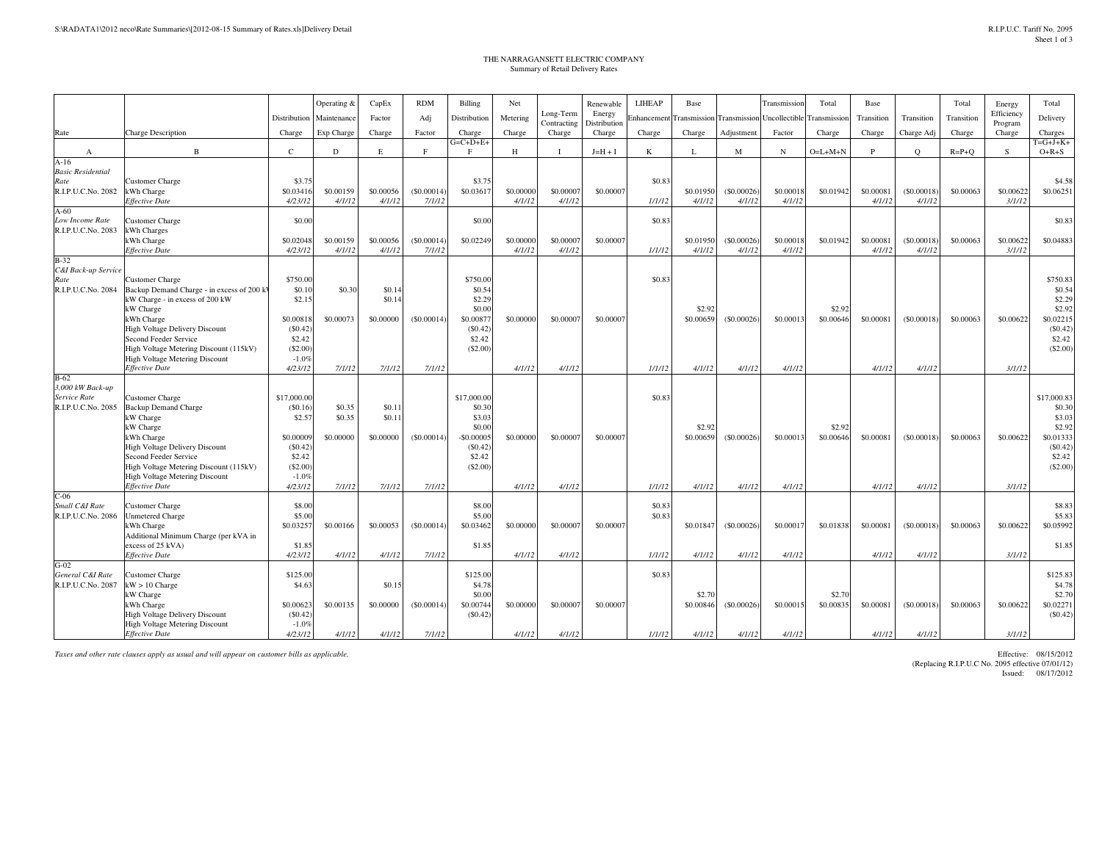## THE NARRAGANSETT ELECTRIC COMPANYSummary of Retail Delivery Rates

|                               |                                                                          |                     | Operating & | CapEx     | <b>RDM</b>  | <b>Billing</b>      | Net       |                       | Renewable              | LIHEAP      | Base      |                                  | Transmission  | Total       | Base       |            | Total       | Energy            | Total               |
|-------------------------------|--------------------------------------------------------------------------|---------------------|-------------|-----------|-------------|---------------------|-----------|-----------------------|------------------------|-------------|-----------|----------------------------------|---------------|-------------|------------|------------|-------------|-------------------|---------------------|
|                               |                                                                          | Distribution        | Maintenance | Factor    | Adj         | Distribution        | Metering  | Long-Term             | Energy                 | Enhancement |           | <b>Transmission</b> Transmission | Uncollectible | Transmissio | Transition | Transition | Transition  | Efficiency        | Delivery            |
| Rate                          | <b>Charge Description</b>                                                | Charge              | Exp Charge  | Charge    | Factor      | Charge              | Charge    | Contracting<br>Charge | Distribution<br>Charge | Charge      | Charge    | Adjustment                       | Factor        | Charge      | Charge     | Charge Adj | Charge      | Program<br>Charge | Charges             |
|                               |                                                                          |                     |             |           |             | $G=C+D+E+$          |           |                       |                        |             |           |                                  |               |             |            |            |             |                   | $T = G + J + K +$   |
| A                             | $\overline{B}$                                                           | $\mathcal{C}$       | $\mathbf D$ | Е         | F           | $\mathbf{F}$        | Н         |                       | $J=H+I$                | K           | L         | M                                | N             | $O=L+M+N$   | P          | $\circ$    | $R = P + Q$ | -S                | $O+R+S$             |
| $A-16$                        |                                                                          |                     |             |           |             |                     |           |                       |                        |             |           |                                  |               |             |            |            |             |                   |                     |
| <b>Basic Residential</b>      |                                                                          |                     |             |           |             |                     |           |                       |                        |             |           |                                  |               |             |            |            |             |                   |                     |
| Rate<br>R.I.P.U.C.No. 2082    | Customer Charge<br>kWh Charge                                            | \$3.75<br>\$0.03416 | \$0,00159   | \$0,00056 | (S0.00014)  | \$3.75<br>\$0.03617 | \$0,00000 | \$0,00007             | \$0,00007              | \$0.83      | \$0.01950 | $($ \$0,00026 $)$                | \$0,00018     | \$0.01942   | \$0,00081  | (S0.00018) | \$0,00063   | \$0.00622         | \$4.58<br>\$0.06251 |
|                               | Effective Date                                                           | 4/23/12             | 4/1/12      | 4/1/12    | 7/1/12      |                     | 4/1/12    | 4/1/12                |                        | 1/1/12      | 4/1/12    | 4/1/12                           | 4/1/12        |             | 4/1/12     | 4/1/12     |             | 3/1/12            |                     |
| $A-60$                        |                                                                          |                     |             |           |             |                     |           |                       |                        |             |           |                                  |               |             |            |            |             |                   |                     |
| Low Income Rate               | Customer Charge                                                          | \$0.00              |             |           |             | \$0.00              |           |                       |                        | \$0.83      |           |                                  |               |             |            |            |             |                   | \$0.83              |
| R.I.P.U.C.No. 2083            | Wh Charges                                                               |                     |             |           |             |                     |           |                       |                        |             |           |                                  |               |             |            |            |             |                   |                     |
|                               | Wh Charge                                                                | \$0.02048           | \$0.00159   | \$0.00056 | (\$0.00014" | \$0.02249           | \$0.00000 | \$0.00007             | \$0.00007              |             | \$0.01950 | (S0.00026)                       | \$0,00018     | \$0.01942   | \$0,00081  | (S0.00018) | \$0.00063   | \$0.00622         | \$0.04883           |
|                               | <b>Effective Date</b>                                                    | 4/23/12             | 4/1/12      | 4/1/12    | 7/1/12      |                     | 4/1/12    | 4/1/12                |                        | 1/1/12      | 4/1/12    | 4/1/12                           | 4/1/12        |             | 4/1/12     | 4/1/12     |             | 3/1/12            |                     |
| $B-32$<br>C&I Back-up Service |                                                                          |                     |             |           |             |                     |           |                       |                        |             |           |                                  |               |             |            |            |             |                   |                     |
| Rate                          | <b>Customer Charge</b>                                                   | \$750.00            |             |           |             | \$750.00            |           |                       |                        | \$0.83      |           |                                  |               |             |            |            |             |                   | \$750.83            |
| R.I.P.U.C.No. 2084            | Backup Demand Charge - in excess of 200 kV                               | \$0.10              | \$0.30      | \$0.14    |             | \$0.54              |           |                       |                        |             |           |                                  |               |             |            |            |             |                   | \$0.54              |
|                               | kW Charge - in excess of 200 kW                                          | \$2.15              |             | \$0.14    |             | \$2.29              |           |                       |                        |             |           |                                  |               |             |            |            |             |                   | \$2.29              |
|                               | kW Charge                                                                |                     |             |           |             | \$0.00              |           |                       |                        |             | \$2.92    |                                  |               | \$2.92      |            |            |             |                   | \$2.92              |
|                               | kWh Charge                                                               | \$0.00818           | \$0,00073   | \$0,00000 | (S0,00014)  | \$0,00877           | \$0,00000 | \$0,00007             | \$0,00007              |             | \$0,00659 | (S0.00026)                       | \$0,00013     | \$0,00646   | \$0,00081  | (S0,00018) | \$0,00063   | \$0.00622         | \$0.02215           |
|                               | High Voltage Delivery Discount                                           | (S0.42)             |             |           |             | (S0.42)             |           |                       |                        |             |           |                                  |               |             |            |            |             |                   | (S0.42)             |
|                               | Second Feeder Service                                                    | \$2.42              |             |           |             | \$2.42              |           |                       |                        |             |           |                                  |               |             |            |            |             |                   | \$2.42              |
|                               | High Voltage Metering Discount (115kV)                                   | (\$2.00             |             |           |             | (S2.00)             |           |                       |                        |             |           |                                  |               |             |            |            |             |                   | (S2.00)             |
|                               | High Voltage Metering Discount                                           | $-1.0%$             |             |           |             |                     |           |                       |                        |             |           |                                  |               |             |            |            |             |                   |                     |
| $B-62$                        | <b>Effective Date</b>                                                    | 4/23/12             | 7/1/12      | 7/1/12    | 7/1/12      |                     | 4/1/12    | 4/1/12                |                        | 1/1/12      | 4/1/12    | 4/1/12                           | 4/1/12        |             | 4/1/12     | 4/1/12     |             | 3/1/12            |                     |
| 3,000 kW Back-up              |                                                                          |                     |             |           |             |                     |           |                       |                        |             |           |                                  |               |             |            |            |             |                   |                     |
| Service Rate                  | <b>Customer Charge</b>                                                   | \$17,000.00         |             |           |             | \$17,000.00         |           |                       |                        | \$0.83      |           |                                  |               |             |            |            |             |                   | \$17,000.83         |
| R.I.P.U.C.No. 2085            | <b>Backup Demand Charge</b>                                              | (\$0.16]            | \$0.35      | \$0.11    |             | \$0.30              |           |                       |                        |             |           |                                  |               |             |            |            |             |                   | \$0.30              |
|                               | kW Charge                                                                | \$2.57              | \$0.35      | \$0.11    |             | \$3.03              |           |                       |                        |             |           |                                  |               |             |            |            |             |                   | \$3.03              |
|                               | kW Charge                                                                |                     |             |           |             | \$0.00              |           |                       |                        |             | \$2.92    |                                  |               | \$2.92      |            |            |             |                   | \$2.92              |
|                               | kWh Charge                                                               | \$0,00009           | \$0,00000   | \$0,00000 | (S0.00014)  | $-$0,00005$         | \$0,00000 | \$0,00007             | \$0,00007              |             | \$0,00659 | (S0.00026)                       | \$0,00013     | \$0,00646   | \$0,00081  | (S0,00018) | \$0,00063   | \$0.00622         | \$0.01333           |
|                               | <b>High Voltage Delivery Discount</b>                                    | (S0.42)             |             |           |             | (S0.42)             |           |                       |                        |             |           |                                  |               |             |            |            |             |                   | (S0.42)             |
|                               | Second Feeder Service                                                    | \$2.42<br>(\$2.00   |             |           |             | \$2.42<br>(\$2.00)  |           |                       |                        |             |           |                                  |               |             |            |            |             |                   | \$2.42<br>(S2.00)   |
|                               | High Voltage Metering Discount (115kV)<br>High Voltage Metering Discount | $-1.0%$             |             |           |             |                     |           |                       |                        |             |           |                                  |               |             |            |            |             |                   |                     |
|                               | <b>Effective Date</b>                                                    | 4/23/12             | 7/1/12      | 7/1/12    | 7/1/12      |                     | 4/1/12    | 4/1/12                |                        | 1/1/12      | 4/1/12    | 4/1/12                           | 4/1/12        |             | 4/1/12     | 4/1/12     |             | 3/1/12            |                     |
| $C-06$                        |                                                                          |                     |             |           |             |                     |           |                       |                        |             |           |                                  |               |             |            |            |             |                   |                     |
| Small C&I Rate                | Customer Charge                                                          | \$8.00              |             |           |             | \$8.00              |           |                       |                        | \$0.83      |           |                                  |               |             |            |            |             |                   | \$8.83              |
| R.I.P.U.C.No. 2086            | Jnmetered Charge                                                         | \$5.00              |             |           |             | \$5.00              |           |                       |                        | \$0.83      |           |                                  |               |             |            |            |             |                   | \$5.83              |
|                               | Wh Charge                                                                | \$0.03257           | \$0,00166   | \$0,00053 | (S0,00014)  | \$0.03462           | \$0,00000 | \$0,00007             | \$0,00007              |             | \$0.01847 | (S0.00026)                       | \$0,00017     | \$0.01838   | \$0,00081  | (S0,00018) | \$0,00063   | \$0.00622         | \$0.05992           |
|                               | Additional Minimum Charge (per kVA in                                    |                     |             |           |             |                     |           |                       |                        |             |           |                                  |               |             |            |            |             |                   |                     |
|                               | excess of 25 kVA)                                                        | \$1.85              |             |           |             | \$1.85              |           |                       |                        |             |           |                                  |               |             |            |            |             |                   | \$1.85              |
| $G-02$                        | Effective Date                                                           | 4/23/12             | 4/1/12      | 4/1/12    | 7/1/12      |                     | 4/1/12    | 4/1/12                |                        | 1/1/12      | 4/1/12    | 4/1/12                           | 4/1/12        |             | 4/1/12     | 4/1/12     |             | 3/1/12            |                     |
| General C&I Rate              | Customer Charge                                                          | \$125.00            |             |           |             | \$125.00            |           |                       |                        | \$0.83      |           |                                  |               |             |            |            |             |                   | \$125.83            |
| R.I.P.U.C.No. 2087            | kW > 10 Charge                                                           | \$4.63              |             | \$0.15    |             | \$4.78              |           |                       |                        |             |           |                                  |               |             |            |            |             |                   | \$4.78              |
|                               | W Charge                                                                 |                     |             |           |             | \$0.00              |           |                       |                        |             | \$2.7     |                                  |               | \$2.70      |            |            |             |                   | \$2.70              |
|                               | kWh Charge                                                               | \$0.00623           | \$0.00135   | \$0.00000 | (S0.00014)  | \$0.00744           | \$0,00000 | \$0.00007             | \$0.00007              |             | \$0.00846 | (S0.00026)                       | \$0.00015     | \$0.00835   | \$0,00081  | (S0.00018) | \$0.00063   | \$0.00622         | \$0.02271           |
|                               | <b>High Voltage Delivery Discount</b>                                    | (S0.42)             |             |           |             | (S0.42)             |           |                       |                        |             |           |                                  |               |             |            |            |             |                   | $(\$0.42)$          |
|                               | <b>High Voltage Metering Discount</b>                                    | $-1.0%$             |             |           |             |                     |           |                       |                        |             |           |                                  |               |             |            |            |             |                   |                     |
|                               | <b>Effective Date</b>                                                    | 4/23/12             | 4/1/12      | 4/1/12    | 7/1/12      |                     | 4/1/12    | 4/1/12                |                        | 1/1/12      | 4/1/12    | 4/1/12                           | 4/1/12        |             | 4/1/12     | 4/1/12     |             | 3/1/12            |                     |

*Taxes and other rate clauses apply as usual and will appear on customer bills as applicable.*

 Effective: 08/15/2012 (Replacing R.I.P.U.C No. 2095 effective 07/01/12)Issued: 08/17/2012